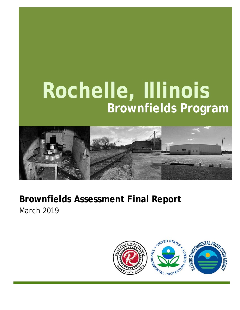# **Rochelle, Illinois Brownfields Program**



### **Brownfields Assessment Final Report** March 2019

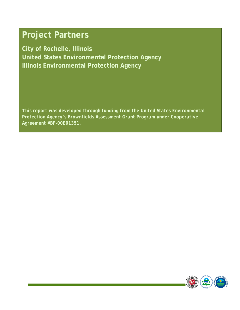### **Project Partners**

**City of Rochelle, Illinois United States Environmental Protection Agency Illinois Environmental Protection Agency** 

*This report was developed through funding from the United States Environmental Protection Agency's Brownfields Assessment Grant Program under Cooperative Agreement #BF-00E01351.* 

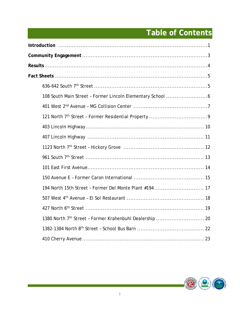### **Table of Contents**

| 194 North 15th Street - Former Del Monte Plant #194 17 |
|--------------------------------------------------------|
|                                                        |
|                                                        |
|                                                        |
|                                                        |
|                                                        |

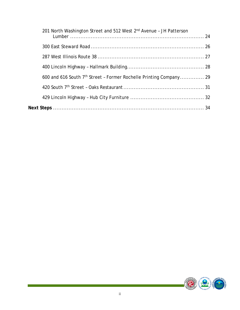|  | 201 North Washington Street and 512 West 2nd Avenue - JH Patterson             |  |
|--|--------------------------------------------------------------------------------|--|
|  |                                                                                |  |
|  |                                                                                |  |
|  |                                                                                |  |
|  | 600 and 616 South 7 <sup>th</sup> Street - Former Rochelle Printing Company 29 |  |
|  |                                                                                |  |
|  |                                                                                |  |
|  |                                                                                |  |

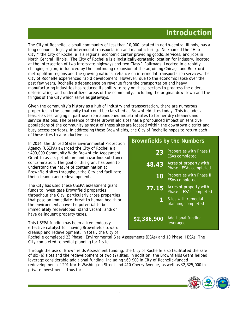### **Introduction**

The City of Rochelle, a small community of less than 10,000 located in north-central Illinois, has a long economic legacy of intermodal transportation and manufacturing. Nicknamed the "Hub City," the City of Rochelle is a regional economic center providing goods, services, and jobs in North Central Illinois. The City of Rochelle is a logistically-strategic location for industry, located at the intersection of two interstate highways and two Class 1 Railroads. Located in a rapidly changing region, influenced by the continuing expansion of the adjoining Chicago and Rockford metropolitan regions and the growing national reliance on intermodal transportation services, the City of Rochelle experienced rapid development. However, due to the economic lapse over the past few years, Rochelle's dependence on revenue from the transportation and heavy manufacturing industries has reduced its ability to rely on these sectors to progress the older, deteriorating, and underutilized areas of the community, including the original downtown and the fringes of the City which serve as gateways.

Given the community's history as a hub of industry and transportation, there are numerous properties in the community that could be classified as Brownfield sites today. This includes at least 60 sites ranging in past use from abandoned industrial sites to former dry cleaners and service stations. The presence of these Brownfield sites has a pronounced impact on sensitive populations of the community as most of these sites are located within the downtown district and busy access corridors. In addressing these Brownfields, the City of Rochelle hopes to return each of these sites to a productive use.

In 2014, the United States Environmental Protection Agency (USEPA) awarded the City of Rochelle a \$400,000 Community Wide Brownfield Assessment Grant to assess petroleum and hazardous substance contamination. The goal of this grant has been to understand the nature of contamination at Brownfield sites throughout the City and facilitate their cleanup and redevelopment.

The City has used these USEPA assessment grant funds to investigate Brownfield properties throughout the City, particularly those properties that pose an immediate threat to human health or the environment, have the potential to be immediately redeveloped, stand vacant, and/or have delinquent property taxes.

This USEPA funding has been a tremendously effective catalyst for moving Brownfields toward cleanup and redevelopment. In total, the City of

#### **Brownfields by the Numbers** 23 Properties with Phase I ESAs completed **48.43** Acres of property with Phase I ESAs completed **10** Properties with Phase II ESAs completed **77.15** Acres of property with Phase II ESAs completed **1** Sites with remedial planning completed **\$2,386,900** Additional funding

leveraged

Rochelle completed 23 Phase I Environmental Site Assessments (ESAs) and 10 Phase II ESAs. The City completed remedial planning for 1 site.

Through the use of Brownfields Assessment funding, the City of Rochelle also facilitated the sale of six (6) sites and the redevelopment of two (2) sites. In addition, the Brownfields Grant helped leverage considerable additional funding, including \$60,900 in City of Rochelle-funded redevelopment of 201 North Washington Street and 410 Cherry Avenue, as well as \$2,325,000 in private investment – thus far.

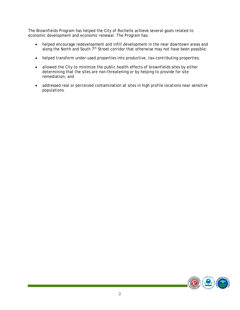The Brownfields Program has helped the City of Rochelle achieve several goals related to economic development and economic renewal. The Program has:

- helped encourage redevelopment and infill development in the near downtown areas and along the North and South 7<sup>th</sup> Street corridor that otherwise may not have been possible;
- helped transform under-used properties into productive, tax-contributing properties;
- allowed the City to minimize the public health effects of brownfields sites by either determining that the sites are non-threatening or by helping to provide for site remediation; and
- addressed real or perceived contamination at sites in high profile locations near sensitive populations.

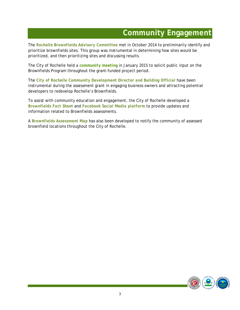### **Community Engagement**

The *Rochelle Brownfields Advisory Committee* met in October 2014 to preliminarily identify and prioritize brownfields sites. This group was instrumental in determining how sites would be prioritized, and then prioritizing sites and discussing results.

The City of Rochelle held a *community meeting* in January 2015 to solicit public input on the Brownfields Program throughout the grant-funded project period.

The *City of Rochelle Community Development Director and Building Official* have been instrumental during the assessment grant in engaging business owners and attracting potential developers to redevelop Rochelle's Brownfields.

To assist with community education and engagement, the City of Rochelle developed a *Brownfields Fact Sheet* and *Facebook Social Media platform* to provide updates and information related to Brownfields assessments.

A *Brownfields Assessment Map* has also been developed to notify the community of assessed brownfield locations throughout the City of Rochelle.

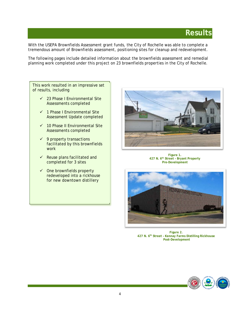### **Results**

With the USEPA Brownfields Assessment grant funds, the City of Rochelle was able to complete a tremendous amount of Brownfields assessment, positioning sites for cleanup and redevelopment.

The following pages include detailed information about the brownfields assessment and remedial planning work completed under this project on 23 brownfields properties in the City of Rochelle.

This work resulted in an impressive set of results, including

- $\checkmark$  23 Phase I Environmental Site Assessments completed
- $\checkmark$  1 Phase I Environmental Site Assessment Update completed
- $\checkmark$  10 Phase II Environmental Site Assessments completed
- $\checkmark$  9 property transactions facilitated by this brownfields work
- $\checkmark$  Reuse plans facilitated and completed for 3 sites
- $\checkmark$  One brownfields property redeveloped into a rickhouse for new downtown distillery



**Figure 1. 427 N. 6th Street – Bryant Property Pre-Development** 



**Figure 2. 427 N. 6th Street – Kennay Farms Distilling Rickhouse Post-Development** 

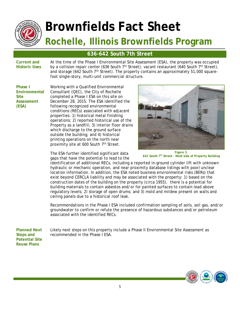

#### **636-642 South 7th Street**

**Current and Historic Uses**  At the time of the Phase I Environmental Site Assessment (ESA), the property was occupied by a collision repair center (636 South  $7<sup>th</sup>$  Street), vacant restaurant (640 South  $7<sup>th</sup>$  Street), and storage (642 South  $7<sup>th</sup>$  Street). The property contains an approximately 51,000 squarefoot single-story, multi-unit commercial structure.

**Phase I Environmental Site Assessment (ESA)** 

Working with a Qualified Environmental Consultant (QEC), the City of Rochelle completed a Phase I ESA on this site on December 28, 2015. The ESA identified the following recognized environmental conditions (RECs) associated with adjacent properties: 1) historical metal finishing operations; 2) reported historical use of the Property as a landfill; 3) interior floor drains which discharge to the ground surface outside the building; and 4) historical printing operations on the north near proximity site at 600 South 7<sup>th</sup> Street.

The ESA further identified significant data gaps that have the potential to lead to the



**Figure 3. 642 South 7th Street - West side of Property Building** 

identification of additional RECs, including a reported in-ground cylinder lift with unknown hydraulic or mechanic operation, and near proximity database listings with poor/unclear location information. In addition, the ESA noted business environmental risks (BERs) that exist beyond CERCLA liability and may be associated with the property: 1) based on the construction dates of the building on the property (circa 1955), there is a potential for building materials to contain asbestos and/or for painted surfaces to contain lead above regulatory levels; 2) storage of open drums; and 3) mold and mildew present on walls and ceiling panels due to a historical roof leak.

Recommendations in the Phase I ESA included confirmation sampling of soils, soil gas, and/or groundwater to confirm or refute the presence of hazardous substances and/or petroleum associated with the identified RECs.

**Planned Next Steps and Potential Site Reuse Plans** 

Likely next steps on this property include a Phase II Environmental Site Assessment as recommended in the Phase I ESA.

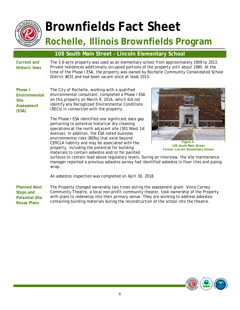

#### **108 South Main Street – Lincoln Elementary School**

**Current and Historic Uses** 

The 3.6-acre property was used as an elementary school from approximately 1909 to 2013. Private residences additionally occupied portions of the property until about 1980. At the time of the Phase I ESA, the property was owned by Rochelle Community Consolidated School District #231 and had been vacant since at least 2013.

**Phase I Environmental Site Assessment (ESA)** 

The City of Rochelle, working with a qualified environmental consultant, completed a Phase I ESA on this property on March 9, 2016, which did not identify any Recognized Environmental Conditions (RECs) in connection with the property.

The Phase I ESA identified one significant data gap pertaining to potential historical dry-cleaning operations at the north adjacent site (301 West 1st Avenue). In addition, the ESA noted business environmental risks (BERs) that exist beyond CERCLA liability and may be associated with the property, including the potential for building materials to contain asbestos and/or for painted



**108 South Main Street Former Lincoln Elementary School** 

surfaces to contain lead above regulatory levels. During an interview, the site maintenance manager reported a previous asbestos survey had identified asbestos in floor tiles and piping wrap.

An asbestos inspection was completed on April 30, 2018.

**Planned Next Steps and Potential Site Reuse Plans**  The Property changed ownership two times during the assessment grant. Vince Carney Community Theatre, a local non-profit community theater, took ownership of the Property with plans to redevelop into their primary venue. They are working to address asbestoscontaining building materials during the reconstruction of the school into the theatre.

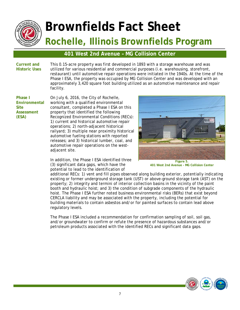

#### **401 West 2nd Avenue – MG Collision Center**

**Current and Historic Uses**  This 0.15-acre property was first developed in 1893 with a storage warehouse and was utilized for various residential and commercial purposes (i.e. warehousing, storefront, restaurant) until automotive repair operations were initiated in the 1940s. At the time of the Phase I ESA, the property was occupied by MG Collision Center and was developed with an approximately 3,420 square foot building utilized as an automotive maintenance and repair facility.

**Phase I Environmental Site Assessment (ESA)** 

On July 6, 2016, the City of Rochelle, working with a qualified environmental consultant, completed a Phase I ESA on this property that identified the following Recognized Environmental Conditions (RECs): 1) current and historical automotive repair operations; 2) north-adjacent historical railyard; 3) multiple near proximity historical automotive fueling stations with reported releases; and 3) historical lumber, coal, and automotive repair operations on the westadjacent site.

In addition, the Phase I ESA identified three (3) significant data gaps, which have the potential to lead to the identification of



**401 West 2nd Avenue - MG Collision Center**

additional RECs: 1) vent and fill pipes observed along building exterior, potentially indicating existing or former underground storage tank (UST) or above-ground storage tank (AST) on the property; 2) integrity and termini of interior collection basins in the vicinity of the paint booth and hydraulic hoist; and 3) the condition of subgrade components of the hydraulic hoist. The Phase I ESA further noted business environmental risks (BERs) that exist beyond CERCLA liability and may be associated with the property, including the potential for building materials to contain asbestos and/or for painted surfaces to contain lead above regulatory levels.

The Phase I ESA included a recommendation for confirmation sampling of soil, soil gas, and/or groundwater to confirm or refute the presence of hazardous substances and/or petroleum products associated with the identified RECs and significant data gaps.

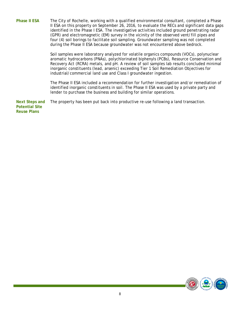**Phase II ESA** The City of Rochelle, working with a qualified environmental consultant, completed a Phase II ESA on this property on September 26, 2016, to evaluate the RECs and significant data gaps identified in the Phase I ESA. The investigative activities included ground penetrating radar (GPR) and electromagnetic (EM) survey in the vicinity of the observed vent/fill pipes and four (4) soil borings to facilitate soil sampling. Groundwater sampling was not completed during the Phase II ESA because groundwater was not encountered above bedrock.

> Soil samples were laboratory analyzed for volatile organics compounds (VOCs), polynuclear aromatic hydrocarbons (PNAs), polychlorinated biphenyls (PCBs), Resource Conservation and Recovery Act (RCRA) metals, and pH. A review of soil samples lab results concluded minimal inorganic constituents (lead, arsenic) exceeding Tier 1 Soil Remediation Objectives for industrial/commercial land use and Class I groundwater ingestion.

> The Phase II ESA included a recommendation for further investigation and/or remediation of identified inorganic constituents in soil. The Phase II ESA was used by a private party and lender to purchase the business and building for similar operations.

**Next Steps and Potential Site Reuse Plans**  The property has been put back into productive re-use following a land transaction.

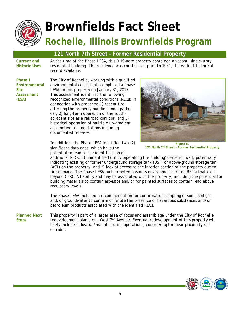

## **Brownfields Fact Sheet**

### **Rochelle, Illinois Brownfields Program**

#### **121 North 7th Street – Former Residential Property**

**Current and Historic Uses**  At the time of the Phase I ESA, this 0.19-acre property contained a vacant, single-story residential building. The residence was constructed prior to 1931, the earliest historical record available.

**Phase I Environmental Site Assessment (ESA)** 

The City of Rochelle, working with a qualified environmental consultant, completed a Phase I ESA on this property on January 31, 2017. This assessment identified the following recognized environmental conditions (RECs) in connection with property: 1) recent fire affecting the property building and a parked car; 2) long-term operation of the southadjacent site as a railroad corridor; and 3) historical operation of multiple up-gradient automotive fueling stations including documented releases.

In addition, the Phase I ESA identified two (2) significant data gaps, which have the potential to lead to the identification of



**Figure 6. 121 North 7th Street - Former Residential Property** 

additional RECs: 1) unidentified utility pipe along the building's exterior wall, potentially indicating existing or former underground storage tank (UST) or above-ground storage tank (AST) on the property; and 2) lack of access to the interior portion of the property due to fire damage. The Phase I ESA further noted business environmental risks (BERs) that exist beyond CERCLA liability and may be associated with the property, including the potential for building materials to contain asbestos and/or for painted surfaces to contain lead above regulatory levels.

The Phase I ESA included a recommendation for confirmation sampling of soils, soil gas, and/or groundwater to confirm or refute the presence of hazardous substances and/or petroleum products associated with the identified RECs.

**Planned Next Steps**  This property is part of a larger area of focus and assemblage under the City of Rochelle redevelopment plan along West 2<sup>nd</sup> Avenue. Eventual redevelopment of this property will likely include industrial/manufacturing operations, considering the near proximity rail corridor.

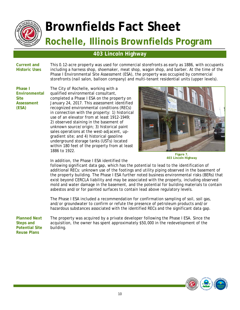

#### **403 Lincoln Highway**

**Current and Historic Uses**  This 0.12-acre property was used for commercial storefronts as early as 1886, with occupants including a harness shop, shoemaker, meat shop, wagon shop, and barber. At the time of the Phase I Environmental Site Assessment (ESA), the property was occupied by commercial storefronts (nail salon, balloon company) and multi-tenant residential units (upper levels).

**Phase I Environmental Site Assessment (ESA)** 

The City of Rochelle, working with a qualified environmental consultant, completed a Phase I ESA on the property on January 24, 2017. This assessment identified recognized environmental conditions (RECs) in connection with the property: 1) historical use of an elevator from at least 1912-1949; 2) observed staining in the basement of unknown source/origin; 3) historical paint sales operations at the west-adjacent, upgradient site; and 4) historical gasoline underground storage tanks (USTs) located within 180 feet of the property from at least 1886 to 1922.



**Figure 7. 403 Lincoln Highway** 

In addition, the Phase I ESA identified the

following significant data gap, which has the potential to lead to the identification of additional RECs: unknown use of the footings and utility piping observed in the basement of the property building. The Phase I ESA further noted business environmental risks (BERs) that exist beyond CERCLA liability and may be associated with the property, including observed mold and water damage in the basement, and the potential for building materials to contain asbestos and/or for painted surfaces to contain lead above regulatory levels.

The Phase I ESA included a recommendation for confirmation sampling of soil, soil gas, and/or groundwater to confirm or refute the presence of petroleum products and/or hazardous substances associated with the identified RECs and the significant data gap.

**Planned Next Steps and Potential Site Reuse Plans** 

The property was acquired by a private developer following the Phase I ESA. Since the acquisition, the owner has spent approximately \$50,000 in the redevelopment of the building.

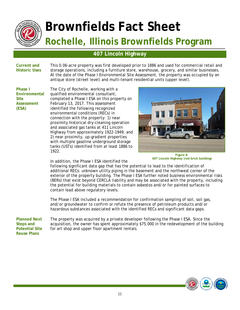

#### **407 Lincoln Highway**

**Current and Historic Uses**  This 0.06-acre property was first developed prior to 1886 and used for commercial retail and storage operations, including a furniture store, warehouse, grocery, and similar businesses. At the date of the Phase I Environmental Site Assessment, the property was occupied by an antique store (street level) and multi-tenant residential units (upper level).

**Phase I Environmental Site Assessment (ESA)** 

The City of Rochelle, working with a qualified environmental consultant, completed a Phase I ESA on this property on February 13, 2017. This assessment identified the following recognized environmental conditions (RECs) in connection with the property: 1) near proximity historical dry-cleaning operation and associated gas tanks at 411 Lincoln Highway from approximately 1922-1949; and 2) near proximity, up-gradient properties with multiple gasoline underground storage tanks (USTs) identified from at least 1886 to 1922.



**Figure 8. 407 Lincoln Highway (red brick building)** 

In addition, the Phase I ESA identified the

following significant data gap that has the potential to lead to the identification of additional RECs: unknown utility piping in the basement and the northwest corner of the exterior of the property building. The Phase I ESA further noted business environmental risks (BERs) that exist beyond CERCLA liability and may be associated with the property, including the potential for building materials to contain asbestos and/or for painted surfaces to contain lead above regulatory levels.

The Phase I ESA included a recommendation for confirmation sampling of soil, soil gas, and/or groundwater to confirm or refute the presence of petroleum products and/or hazardous substances associated with the identified RECs and significant data gaps.

**Planned Next Steps and Potential Site Reuse Plans** 

The property was acquired by a private developer following the Phase I ESA. Since the acquisition, the owner has spent approximately \$75,000 in the redevelopment of the building for art shop and upper floor apartment rentals.

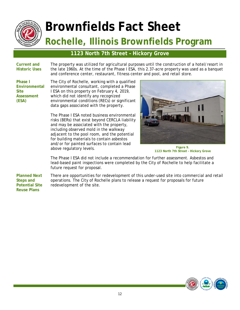

#### **1123 North 7th Street – Hickory Grove**

**Current and Historic Uses**  The property was utilized for agricultural purposes until the construction of a hotel/resort in the late 1960s. At the time of the Phase I ESA, this 2.37-acre property was used as a banquet and conference center, restaurant, fitness center and pool, and retail store.

**Phase I Environmental Site Assessment (ESA)** 

The City of Rochelle, working with a qualified environmental consultant, completed a Phase I ESA on this property on February 4, 2019, which did not identify any recognized environmental conditions (RECs) or significant data gaps associated with the property.

The Phase I ESA noted business environmental risks (BERs) that exist beyond CERCLA liability and may be associated with the property, including observed mold in the walkway adjacent to the pool room, and the potential for building materials to contain asbestos and/or for painted surfaces to contain lead above regulatory levels.



**Figure 9. 1123 North 7th Street - Hickory Grove** 

The Phase I ESA did not include a recommendation for further assessment. Asbestos and lead-based paint inspections were completed by the City of Rochelle to help facilitate a future request for proposal.

**Planned Next Steps and Potential Site Reuse Plans** 

There are opportunities for redevelopment of this under-used site into commercial and retail operations. The City of Rochelle plans to release a request for proposals for future redevelopment of the site.

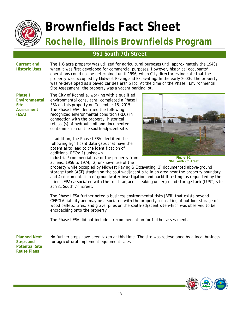

#### **961 South 7th Street**

**Current and Historic Uses**  The 1.8-acre property was utilized for agricultural purposes until approximately the 1940s when it was first developed for commercial purposes. However, historical occupants/ operations could not be determined until 1996, when City directories indicate that the property was occupied by Midwest Paving and Excavating. In the early 2000s, the property was re-developed as a paved car dealership lot. At the time of the Phase I Environmental Site Assessment, the property was a vacant parking lot.

**Phase I Environmental Site Assessment (ESA)** 

The City of Rochelle, working with a qualified environmental consultant, completed a Phase I ESA on this property on December 18, 2015. The Phase I ESA identified the following recognized environmental condition (REC) in connection with the property: historical release(s) of hydraulic oil and documented contamination on the south-adjacent site.

In addition, the Phase I ESA identified the following significant data gaps that have the potential to lead to the identification of additional RECs: 1) unknown industrial/commercial use of the property from

at least 1956 to 1974; 2) unknown use of the



**Figure 10. 961 South 7th Street** 

property while occupied by Midwest Paving & Excavating; 3) documented above-ground storage tank (AST) staging on the south-adjacent site in an area near the property boundary; and 4) documentation of groundwater investigation and backfill testing (as requested by the Illinois EPA) associated with the south-adjacent leaking underground storage tank (LUST) site at 981 South 7<sup>th</sup> Street.

The Phase I ESA further noted a business environmental risks (BER) that exists beyond CERCLA liability and may be associated with the property, consisting of outdoor storage of wood pallets, tires, and gravel piles on the south-adjacent site which was observed to be encroaching onto the property.

The Phase I ESA did not include a recommendation for further assessment.

**Planned Next Steps and Potential Site Reuse Plans** 

No further steps have been taken at this time. The site was redeveloped by a local business for agricultural implement equipment sales.

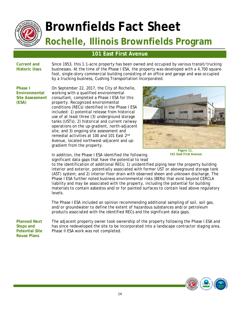

#### **101 East First Avenue**

#### **Current and Historic Uses**

Since 1953, this 1.1-acre property has been owned and occupied by various transit/trucking businesses. At the time of the Phase I ESA, the property was developed with a 4,700 squarefoot, single-story commercial building consisting of an office and garage and was occupied by a trucking business, Cushing Transportation Incorporated.

**Phase I Environmental Site Assessment (ESA)** 

On September 22, 2017, the City of Rochelle, working with a qualified environmental consultant, completed a Phase I ESA for this property. Recognized environmental conditions (RECs) identified in the Phase I ESA included: 1) potential release from historical use of at least three (3) underground storage tanks (USTs); 2) historical and current railway operations on the up-gradient, north-adjacent site; and 3) ongoing site assessment and remedial activities at 100 and 101 East 2nd Avenue, located northwest-adjacent and upgradient from the property.



**Figure 11. 101 East First Avenue** 

In addition, the Phase I ESA identified the following significant data gaps that have the potential to lead

to the identification of additional RECs: 1) unidentified piping near the property building interior and exterior, potentially associated with former UST or aboveground storage tank (AST) system; and 2) interior floor drain with observed sheen and unknown discharge. The Phase I ESA further noted business environmental risks (BERs) that exist beyond CERCLA liability and may be associated with the property, including the potential for building materials to contain asbestos and/or for painted surfaces to contain lead above regulatory levels.

The Phase I ESA included an opinion recommending additional sampling of soil, soil gas, and/or groundwater to define the extent of hazardous substances and/or petroleum products associated with the identified RECs and the significant data gaps.

**Planned Next Steps and Potential Site Reuse Plans** 

The adjacent property owner took ownership of the property following the Phase I ESA and has since redeveloped the site to be incorporated into a landscape contractor staging area. Phase II ESA work was not completed.

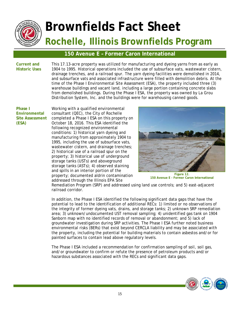

#### **150 Avenue E – Former Caron International**

**Current and Historic Uses**  This 17.13-acre property was utilized for manufacturing and dyeing yarns from as early as 1904 to 1995. Historical operations included the use of subsurface vats, wastewater cistern, drainage trenches, and a railroad spur. The yarn dyeing facilities were demolished in 2014, and subsurface vats and associated infrastructure were filled with demolition debris. At the time of the Phase I Environmental Site Assessment (ESA), the property included three (3) warehouse buildings and vacant land, including a large portion containing concrete slabs from demolished buildings. During the Phase I ESA, the property was owned by La Grou Distribution System, Inc. and the buildings were for warehousing canned goods.

**Phase I Environmental Site Assessment (ESA)** 

Working with a qualified environmental consultant (QEC), the City of Rochelle completed a Phase I ESA on this property on October 18, 2016. This ESA identified the following recognized environmental conditions: 1) historical yarn dyeing and manufacturing from approximately 1904 to 1995, including the use of subsurface vats, wastewater cistern, and drainage trenches; 2) historical use of a railroad spur on the property; 3) historical use of underground storage tanks (USTs) and aboveground storage tanks (ASTs); 4) observed staining and spills in an interior portion of the property; documented aldrin contamination addressed through the Illinois EPA Site



**Figure 12. 150 Avenue E - Former Caron International** 

Remediation Program (SRP) and addressed using land use controls; and 5) east-adjacent railroad corridor.

In addition, the Phase I ESA identified the following significant data gaps that have the potential to lead to the identification of additional RECs: 1) limited or no observations of the integrity of former dyeing vats, drains, and storage tanks; 2) unknown SRP remediation area; 3) unknown/undocumented UST removal sampling; 4) unidentified gas tank on 1904 Sanborn map with no identified records of removal or abandonment; and 5) lack of groundwater investigation during SRP activities. The Phase I ESA further noted business environmental risks (BERs) that exist beyond CERCLA liability and may be associated with the property, including the potential for building materials to contain asbestos and/or for painted surfaces to contain lead above regulatory levels.

The Phase I ESA included a recommendation for confirmation sampling of soil, soil gas, and/or groundwater to confirm or refute the presence of petroleum products and/or hazardous substances associated with the RECs and significant data gaps.

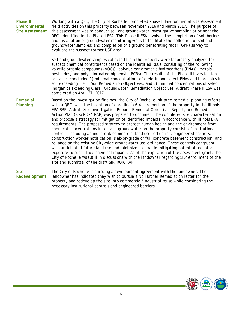| <b>Phase II</b><br>Environmental<br><b>Site Assessment</b> | Working with a QEC, the City of Rochelle completed Phase II Environmental Site Assessment<br>field activities on this property between November 2016 and March 2017. The purpose of<br>this assessment was to conduct soil and groundwater investigative sampling at or near the<br>RECs identified in the Phase I ESA. This Phase II ESA involved the completion of soil borings<br>and installation of groundwater monitoring wells to facilitate the collection of soil and<br>groundwater samples; and completion of a ground penetrating radar (GPR) survey to<br>evaluate the suspect former UST area.                                                                                                                                                                                                                                                                                                                                                                                                                                                                                                                                                                                                                                                                                      |
|------------------------------------------------------------|---------------------------------------------------------------------------------------------------------------------------------------------------------------------------------------------------------------------------------------------------------------------------------------------------------------------------------------------------------------------------------------------------------------------------------------------------------------------------------------------------------------------------------------------------------------------------------------------------------------------------------------------------------------------------------------------------------------------------------------------------------------------------------------------------------------------------------------------------------------------------------------------------------------------------------------------------------------------------------------------------------------------------------------------------------------------------------------------------------------------------------------------------------------------------------------------------------------------------------------------------------------------------------------------------|
|                                                            | Soil and groundwater samples collected from the property were laboratory analyzed for<br>suspect chemical constituents based on the identified RECs, consisting of the following:<br>volatile organic compounds (VOCs), polynuclear aromatic hydrocarbons (PNAs), metals,<br>pesticides, and polychlorinated biphenyls (PCBs). The results of the Phase II investigation<br>activities concluded 1) minimal concentrations of dieldrin and select PNAs and inorganics in<br>soil exceeding Tier 1 Soil Remediation Objectives; and 2) minimal concentrations of select<br>inorganics exceeding Class I Groundwater Remediation Objectives. A draft Phase II ESA was<br>completed on April 27, 2017.                                                                                                                                                                                                                                                                                                                                                                                                                                                                                                                                                                                               |
| Remedial<br>Planning                                       | Based on the investigation findings, the City of Rochelle initiated remedial planning efforts<br>with a QEC, with the intention of enrolling a 6.4-acre portion of the property in the Illinois<br>EPA SRP. A draft Site Investigation Report, Remedial Objectives Report, and Remedial<br>Action Plan (SIR/ROR/RAP) was prepared to document the completed site characterization<br>and propose a strategy for mitigation of identified impacts in accordance with Illinois EPA<br>requirements. The proposed strategy to protect human health and the environment from<br>chemical concentrations in soil and groundwater on the property consists of institutional<br>controls, including an industrial/commercial land use restriction, engineered barriers,<br>construction worker notification, slab-on-grade or full concrete basement construction, and<br>reliance on the existing City-wide groundwater use ordinance. These controls congruent<br>with anticipated future land use and minimize cost while mitigating potential receptor<br>exposure to subsurface chemical impacts. As of the expiration of the assessment grant, the<br>City of Rochelle was still in discussions with the landowner regarding SRP enrollment of the<br>site and submittal of the draft SIR/ROR/RAP. |
| <b>Site</b><br>Redevelopment                               | The City of Rochelle is pursuing a development agreement with the landowner. The<br>landowner has indicated they wish to pursue a No Further Remediation letter for the<br>property and redevelop the site into commercial/industrial reuse while considering the<br>necessary institutional controls and engineered barriers.                                                                                                                                                                                                                                                                                                                                                                                                                                                                                                                                                                                                                                                                                                                                                                                                                                                                                                                                                                    |

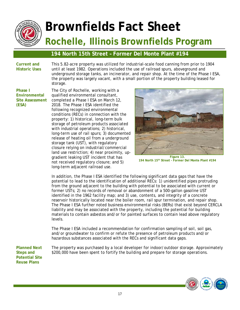

#### **194 North 15th Street – Former Del Monte Plant #194**

**Current and Historic Uses**  This 5.82-acre property was utilized for industrial-scale food canning from prior to 1904 until at least 1982. Operations included the use of railroad spurs, aboveground and underground storage tanks, an incinerator, and repair shop. At the time of the Phase I ESA, the property was largely vacant, with a small portion of the property building leased for storage.

**Phase I Environmental Site Assessment (ESA)** 

The City of Rochelle, working with a qualified environmental consultant, completed a Phase I ESA on March 12, 2018. The Phase I ESA identified the following recognized environmental conditions (RECs) in connection with the property: 1) historical, long-term bulk storage of petroleum products associated with industrial operations; 2) historical, long-term use of rail spurs; 3) documented release of heating oil from a underground storage tank (UST), with regulatory closure relying on industrial/commercial land use restriction; 4) near proximity, upgradient leaking UST incident that has not received regulatory closure; and 5) long-term adjacent railroad use.



**194 North 15th Street - Former Del Monte Plant #194** 

In addition, the Phase I ESA identified the following significant data gaps that have the potential to lead to the identification of additional RECs: 1) unidentified pipes protruding from the ground adjacent to the building with potential to be associated with current or former USTs; 2) no records of removal or abandonment of a 500-gallon gasoline UST identified in the 1962 facility map; and 3) use, contents, and integrity of a concrete reservoir historically located near the boiler room, rail spur termination, and repair shop. The Phase I ESA further noted business environmental risks (BERs) that exist beyond CERCLA liability and may be associated with the property, including the potential for building materials to contain asbestos and/or for painted surfaces to contain lead above regulatory levels.

The Phase I ESA included a recommendation for confirmation sampling of soil, soil gas, and/or groundwater to confirm or refute the presence of petroleum products and/or hazardous substances associated with the RECs and significant data gaps.

**Planned Next Steps and Potential Site Reuse Plans** 

The property was purchased by a local developer for indoor/outdoor storage. Approximately \$200,000 have been spent to fortify the building and prepare for storage operations.

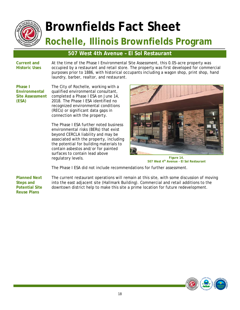

#### **507 West 4th Avenue – El Sol Restaurant**

**Current and Historic Uses**  At the time of the Phase I Environmental Site Assessment, this 0.05-acre property was occupied by a restaurant and retail store. The property was first developed for commercial purposes prior to 1886, with historical occupants including a wagon shop, print shop, hand laundry, barber, realtor, and restaurant.

**Phase I Environmental Site Assessment (ESA)** 

The City of Rochelle, working with a qualified environmental consultant, completed a Phase I ESA on June 14, 2018. The Phase I ESA identified no recognized environmental conditions (RECs) or significant data gaps in connection with the property.

The Phase I ESA further noted business environmental risks (BERs) that exist beyond CERCLA liability and may be associated with the property, including the potential for building materials to contain asbestos and/or for painted surfaces to contain lead above regulatory levels.



**Figure 14. 507 West 4th Avenue - El Sol Restaurant** 

The Phase I ESA did not include recommendations for further assessment.

**Planned Next Steps and Potential Site Reuse Plans** 

The current restaurant operations will remain at this site, with some discussion of moving into the east adjacent site (Hallmark Building). Commercial and retail additions to the downtown district help to make this site a prime location for future redevelopment.

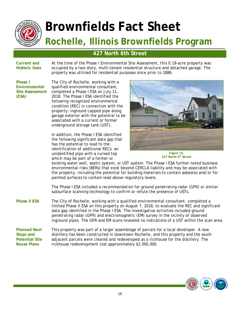

#### **427 North 6th Street**

**Current and Historic Uses**  At the time of the Phase I Environmental Site Assessment, this 0.19-acre property was occupied by a two-story, multi-tenant residential structure and detached garage. The property was utilized for residential purposes since prior to 1886.

**Phase I Environmental Site Assessment (ESA)** 

The City of Rochelle, working with a qualified environmental consultant, completed a Phase I ESA on July 11, 2018. The Phase I ESA identified the following recognized environmental condition (REC) in connection with the property: inground capped pipe along garage exterior with the potential to be associated with a current or former underground storage tank (UST).

In addition, the Phase I ESA identified the following significant data gap that has the potential to lead to the identification of additional RECs: an unidentified pipe with a curved top which may be part of a former or



**Figure 15. 427 North 6th Street** 

existing water well, septic system, or UST system. The Phase I ESA further noted business environmental risks (BERs) that exist beyond CERCLA liability and may be associated with the property, including the potential for building materials to contain asbestos and/or for painted surfaces to contain lead above regulatory levels.

The Phase I ESA included a recommendation for ground penetrating radar (GPR) or similar subsurface scanning technology to confirm or refute the presence of USTs.

**Phase II ESA** The City of Rochelle, working with a qualified environmental consultant, completed a limited Phase II ESA on this property on August 7, 2018, to evaluate the REC and significant data gap identified in the Phase I ESA. The investigative activities included ground penetrating radar (GPR) and electromagnetic (EM) survey in the vicinity of observed inground pipes. The GPR and EM scans revealed no indications of a UST within the scan area.

**Planned Next Steps and Potential Site Reuse Plans**  This property was part of a larger assemblage of parcels for a local developer. A new distillery has been constructed in downtown Rochelle, and this property and the south adjacent parcels were cleared and redeveloped as a rickhouse for the distillery. The rickhouse redevelopment cost approximately \$2,000,000.

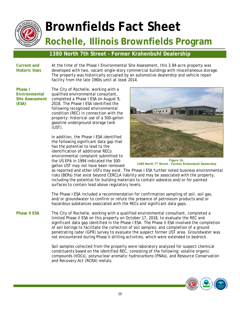

### **1380 North 7th Street – Former Krahenbuhl Dealership**

#### **Current and Historic Uses**

At the time of the Phase I Environmental Site Assessment, this 3.84-acre property was developed with two, vacant single-story commercial buildings with miscellaneous storage. The property was historically occupied by an automotive dealership and vehicle repair facility from the late 1960s until at least 2014.

**Phase I Environmental Site Assessment (ESA)** 

The City of Rochelle, working with a qualified environmental consultant, completed a Phase I ESA on August 9, 2018. The Phase I ESA identified the following recognized environmental condition (REC) in connection with the property: historical use of a 500-gallon gasoline underground storage tank (UST).

In addition, the Phase I ESA identified the following significant data gap that has the potential to lead to the identification of additional RECs: environmental complaint submitted to the US EPA in 1994 indicated the 500 gallon UST may not have been removed



**Figure 16. 1380 North 7th Street – Former Krahenbuhl Dealership** 

as reported and other USTs may exist. The Phase I ESA further noted business environmental risks (BERs) that exist beyond CERCLA liability and may be associated with the property, including the potential for building materials to contain asbestos and/or for painted surfaces to contain lead above regulatory levels.

The Phase I ESA included a recommendation for confirmation sampling of soil, soil gas, and/or groundwater to confirm or refute the presence of petroleum products and/or hazardous substances associated with the RECs and significant data gaps.

Phase II ESA The City of Rochelle, working with a qualified environmental consultant, completed a limited Phase II ESA on this property on October 17, 2018, to evaluate the REC and significant data gap identified in the Phase I ESA. The Phase II ESA involved the completion of soil borings to facilitate the collection of soil samples; and completion of a ground penetrating radar (GPR) survey to evaluate the suspect former UST area. Groundwater was not encountered during Phase II drilling activities, which were extended to bedrock.

> Soil samples collected from the property were laboratory analyzed for suspect chemical constituents based on the identified REC, consisting of the following: volatile organic compounds (VOCs), polynuclear aromatic hydrocarbons (PNAs), and Resource Conservation and Recovery Act (RCRA) metals.

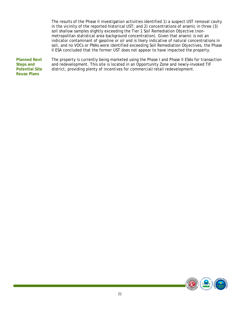The results of the Phase II investigation activities identified 1) a suspect UST removal cavity in the vicinity of the reported historical UST; and 2) concentrations of arsenic in three (3) soil shallow samples slightly exceeding the Tier 1 Soil Remediation Objective (nonmetropolitan statistical area background concentration). Given that arsenic is not an indicator contaminant of gasoline or oil and is likely indicative of natural concentrations in soil, and no VOCs or PNAs were identified exceeding Soil Remediation Objectives, the Phase II ESA concluded that the former UST does not appear to have impacted the property.

**Planned Next Steps and Potential Site Reuse Plans**  The property is currently being marketed using the Phase I and Phase II ESAs for transaction and redevelopment. This site is located in an Opportunity Zone and newly-invoked TIF district, providing plenty of incentives for commercial/retail redevelopment.

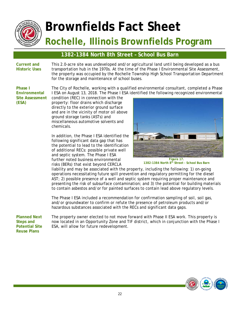

#### **1382-1384 North 8th Street – School Bus Barn**

**Current and Historic Uses** 

**Environmental Site Assessment** 

**Phase I** 

**(ESA)** 

This 2.0-acre site was undeveloped and/or agricultural land until being developed as a bus transportation hub in the 1970s. At the time of the Phase I Environmental Site Assessment, the property was occupied by the Rochelle Township High School Transportation Department for the storage and maintenance of school buses.

The City of Rochelle, working with a qualified environmental consultant, completed a Phase I ESA on August 13, 2018. The Phase I ESA identified the following recognized environmental

condition (REC) in connection with the property: floor drains which discharge directly to the exterior ground surface and are in the vicinity of motor oil above ground storage tanks (ASTs) and miscellaneous automotive solvents and chemicals.

In addition, the Phase I ESA identified the following significant data gap that has the potential to lead to the identification of additional RECs: possible private well and septic system. The Phase I ESA further noted business environmental risks (BERs) that exist beyond CERCLA



**Figure 17. 1382-1384 North 8th Street - School Bus Barn** 

liability and may be associated with the property, including the following: 1) on-going operations necessitating future spill prevention and regulatory permitting for the diesel AST; 2) possible presence of a well and septic system requiring proper maintenance and presenting the risk of subsurface contamination; and 3) the potential for building materials to contain asbestos and/or for painted surfaces to contain lead above regulatory levels.

The Phase I ESA included a recommendation for confirmation sampling of soil, soil gas, and/or groundwater to confirm or refute the presence of petroleum products and/or hazardous substances associated with the RECs and significant data gaps.

**Planned Next Steps and Potential Site Reuse Plans** 

The property owner elected to not move forward with Phase II ESA work. This property is now located in an Opportunity Zone and TIF district, which in conjunction with the Phase I ESA, will allow for future redevelopment.

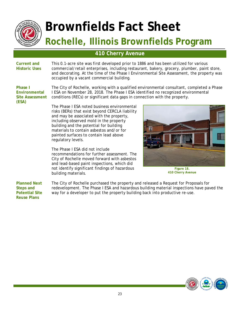

#### **410 Cherry Avenue**

**Current and Historic Uses** 

This 0.1-acre site was first developed prior to 1886 and has been utilized for various commercial/retail enterprises, including restaurant, bakery, grocery, plumber, paint store, and decorating. At the time of the Phase I Environmental Site Assessment, the property was occupied by a vacant commercial building.

**Phase I Environmental Site Assessment (ESA)** 

The City of Rochelle, working with a qualified environmental consultant, completed a Phase I ESA on November 28, 2018. The Phase I ESA identified no recognized environmental conditions (RECs) or significant data gaps in connection with the property.

The Phase I ESA noted business environmental risks (BERs) that exist beyond CERCLA liability and may be associated with the property, including observed mold in the property building and the potential for building materials to contain asbestos and/or for painted surfaces to contain lead above regulatory levels.

The Phase I ESA did not include recommendations for further assessment. The City of Rochelle moved forward with asbestos and lead-based paint inspections, which did not identify significant findings of hazardous building materials.



**Figure 18. 410 Cherry Avenue** 

**Planned Next Steps and Potential Site Reuse Plans**  The City of Rochelle purchased the property and released a Request for Proposals for redevelopment. The Phase I ESA and hazardous building material inspections have paved the way for a developer to put the property building back into productive re-use.

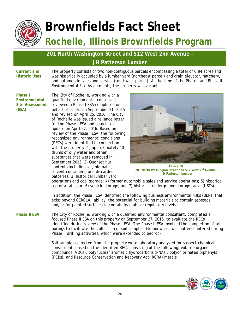

#### **201 North Washington Street and 512 West 2nd Avenue – JH Patterson Lumber**

**Current and Historic Uses**  The property consists of two non-contiguous parcels encompassing a total of 0.94 acres and was historically occupied by a lumber yard (northeast parcel) and grain elevator, hatchery, and automobile sales and service (southwest parcel). At the time of the Phase I and Phase II Environmental Site Assessments, the property was vacant.

**Phase I Environmental Site Assessment (ESA)** 

The City of Rochelle, working with a qualified environmental consultant, reviewed a Phase I ESA completed on behalf of others on September 21, 2015 and revised on April 25, 2016. The City of Rochelle was issued a reliance letter for the Phase I ESA and associated update on April 27, 2016. Based on review of the Phase I ESA, the following recognized environmental conditions (RECs) were identified in connection with the property: 1) approximately 40 drums of oily water and other substances that were removed in September 2015; 2) Quonset hut contents including tar, old paint, solvent containers, and discarded batteries; 3) historical lumber yard



**Figure 19. 201 North Washington Street and 512 West 2nd Avenue - JH Patterson Lumber** 

operations and coal storage; 4) former automobile sales and service operations; 5) historical use of a rail spur; 6) vehicle storage; and 7) historical underground storage tanks (USTs).

In addition, the Phase I ESA identified the following business environmental risks (BERs) that exist beyond CERCLA liability: the potential for building materials to contain asbestos and/or for painted surfaces to contain lead above regulatory levels.

**Phase II ESA** The City of Rochelle, working with a qualified environmental consultant, completed a focused Phase II ESA on this property on September 27, 2016, to evaluate the RECs identified during review of the Phase I ESA. The Phase II ESA involved the completion of soil borings to facilitate the collection of soil samples. Groundwater was not encountered during Phase II drilling activities, which were extended to bedrock.

> Soil samples collected from the property were laboratory analyzed for suspect chemical constituents based on the identified REC, consisting of the following: volatile organic compounds (VOCs), polynuclear aromatic hydrocarbons (PNAs), polychlorinated biphenyls (PCBs), and Resource Conservation and Recovery Act (RCRA) metals.

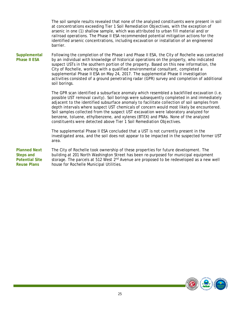The soil sample results revealed that none of the analyzed constituents were present in soil at concentrations exceeding Tier 1 Soil Remediation Objectives, with the exception of arsenic in one (1) shallow sample, which was attributed to urban fill material and/or railroad operations. The Phase II ESA recommended potential mitigation actions for the identified arsenic concentrations, including excavation or installation of an engineered barrier.

**Supplemental Phase II ESA**  Following the completion of the Phase I and Phase II ESA, the City of Rochelle was contacted by an individual with knowledge of historical operations on the property, who indicated suspect USTs in the southern portion of the property. Based on this new information, the City of Rochelle, working with a qualified environmental consultant, completed a supplemental Phase II ESA on May 24, 2017. The supplemental Phase II investigation activities consisted of a ground penetrating radar (GPR) survey and completion of additional soil borings.

> The GPR scan identified a subsurface anomaly which resembled a backfilled excavation (i.e. possible UST removal cavity). Soil borings were subsequently completed in and immediately adjacent to the identified subsurface anomaly to facilitate collection of soil samples from depth intervals where suspect UST chemicals of concern would most likely be encountered. Soil samples collected from the suspect UST excavation were laboratory analyzed for benzene, toluene, ethylbenzene, and xylenes (BTEX) and PNAs. None of the analyzed constituents were detected above Tier 1 Soil Remediation Objectives.

> The supplemental Phase II ESA concluded that a UST is not currently present in the investigated area, and the soil does not appear to be impacted in the suspected former UST area.

**Planned Next Steps and Potential Site Reuse Plans**  The City of Rochelle took ownership of these properties for future development. The building at 201 North Washington Street has been re-purposed for municipal equipment storage. The parcels at 512 West 2<sup>nd</sup> Avenue are proposed to be redeveloped as a new well house for Rochelle Municipal Utilities.

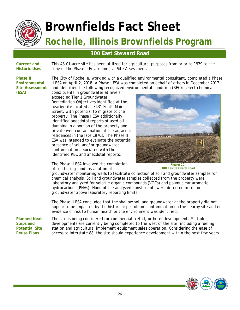

#### **300 East Steward Road**

**Current and Historic Uses** 

This 48.01-acre site has been utilized for agricultural purposes from prior to 1939 to the time of the Phase II Environmental Site Assessment.

**Phase II Environmental Site Assessment (ESA)** 

The City of Rochelle, working with a qualified environmental consultant, completed a Phase II ESA on April 2, 2018. A Phase I ESA was completed on behalf of others in December 2017 and identified the following recognized environmental condition (REC): select chemical

constituents in groundwater at levels exceeding Tier 1 Groundwater Remediation Objectives identified at the nearby site located at 8431 South Main Street, with potential to migrate to the property. The Phase I ESA additionally identified anecdotal reports of used oil dumping in a portion of the property and private well contamination at the adjacent residences in the late 1970s. The Phase II ESA was intended to evaluate the potential presence of soil and/or groundwater contamination associated with the identified REC and anecdotal reports.

The Phase II ESA involved the completion of soil borings and installation of



**Figure 20. 300 East Steward Road** 

groundwater monitoring wells to facilitate collection of soil and groundwater samples for chemical analysis. Soil and groundwater samples collected from the property were laboratory analyzed for volatile organic compounds (VOCs) and polynuclear aromatic hydrocarbons (PNAs). None of the analyzed constituents were detected in soil or groundwater above laboratory reporting limits.

The Phase II ESA concluded that the shallow soil and groundwater at the property did not appear to be impacted by the historical petroleum contamination on the nearby site and no evidence of risk to human health or the environment was identified.

**Planned Next Steps and Potential Site Reuse Plans** 

The site is being considered for commercial, retail, or hotel development. Multiple developments are currently being completed to the west of the site, including a fueling station and agricultural implement equipment sales operation. Considering the ease of access to Interstate 88, the site should experience development within the next few years.

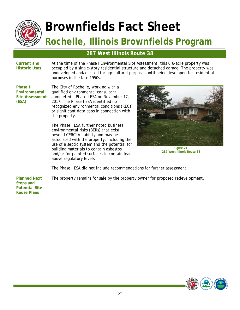

#### **287 West Illinois Route 38**

**Current and Historic Uses**  At the time of the Phase I Environmental Site Assessment, this 0.6-acre property was occupied by a single-story residential structure and detached garage. The property was undeveloped and/or used for agricultural purposes until being developed for residential purposes in the late 1950s.

**Phase I Environmental Site Assessment (ESA)** 

The City of Rochelle, working with a qualified environmental consultant, completed a Phase I ESA on November 17, 2017. The Phase I ESA identified no recognized environmental conditions (RECs) or significant data gaps in connection with the property.

The Phase I ESA further noted business environmental risks (BERs) that exist beyond CERCLA liability and may be associated with the property, including the use of a septic system and the potential for building materials to contain asbestos and/or for painted surfaces to contain lead above regulatory levels.



**Figure 21. 287 West Illinois Route 38** 

The Phase I ESA did not include recommendations for further assessment.

The property remains for sale by the property owner for proposed redevelopment.

**Planned Next Steps and Potential Site Reuse Plans** 

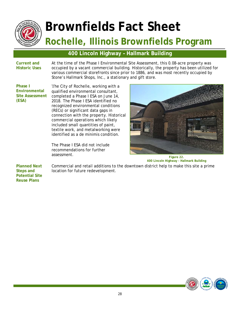

#### **400 Lincoln Highway – Hallmark Building**

**Current and Historic Uses**  At the time of the Phase I Environmental Site Assessment, this 0.08-acre property was occupied by a vacant commercial building. Historically, the property has been utilized for various commercial storefronts since prior to 1886, and was most recently occupied by Stone's Hallmark Shops, Inc., a stationary and gift store.

**Phase I Environmental Site Assessment (ESA)** 

The City of Rochelle, working with a qualified environmental consultant, completed a Phase I ESA on June 14, 2018. The Phase I ESA identified no recognized environmental conditions (RECs) or significant data gaps in connection with the property. Historical commercial operations which likely included small quantities of paint, textile work, and metalworking were identified as a de minimis condition.

The Phase I ESA did not include recommendations for further assessment.

location for future redevelopment.



Commercial and retail additions to the downtown district help to make this site a prime **Figure 22. 400 Lincoln Highway - Hallmark Building** 

**Planned Next Steps and Potential Site Reuse Plans** 

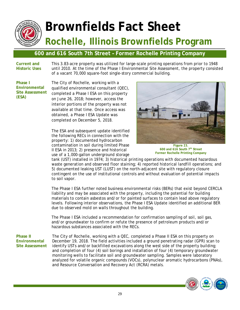

#### **600 and 616 South 7th Street – Former Rochelle Printing Company**

**Current and Historic Uses**  This 3.83-acre property was utilized for large-scale printing operations from prior to 1948 until 2010. At the time of the Phase I Environmental Site Assessment, the property consisted of a vacant 70,000 square-foot single-story commercial building.

**Phase I Environmental Site Assessment (ESA)** 

The City of Rochelle, working with a qualified environmental consultant (QEC), completed a Phase I ESA on this property on June 26, 2018; however, access the interior portions of the property was not available at that time. Once access was obtained, a Phase I ESA Update was completed on December 5, 2018.

The ESA and subsequent update identified the following RECs in connection with the property: 1) documented hydrocarbon contamination in soil during limited Phase II ESA in 2013; 2) presence and historical use of a 1,000-gallon underground storage



**Figure 23. 600 and 616 South 7th Street Former Rochelle Printing Company** 

tank (UST) installed in 1974; 3) historical printing operations with documented hazardous waste generation and observed floor staining; 4) reported historical landfill operations; and 5) documented leaking UST (LUST) on the north-adjacent site with regulatory closure contingent on the use of institutional controls and without evaluation of potential impacts to soil vapor.

The Phase I ESA further noted business environmental risks (BERs) that exist beyond CERCLA liability and may be associated with the property, including the potential for building materials to contain asbestos and/or for painted surfaces to contain lead above regulatory levels. Following interior observations, the Phase I ESA Update identified an additional BER due to observed mold on walls throughout the building.

The Phase I ESA included a recommendation for confirmation sampling of soil, soil gas, and/or groundwater to confirm or refute the presence of petroleum products and/or hazardous substances associated with the RECs.

**Phase II Environmental Site Assessment** 

The City of Rochelle, working with a QEC, completed a Phase II ESA on this property on December 19, 2018. The field activities included a ground penetrating radar (GPR) scan to identify USTs and/or backfilled excavations along the west side of the property building; and completion of four (4) soil borings and installation of four (4) temporary groundwater monitoring wells to facilitate soil and groundwater sampling. Samples were laboratory analyzed for volatile organic compounds (VOCs), polynuclear aromatic hydrocarbons (PNAs), and Resource Conversation and Recovery Act (RCRA) metals.

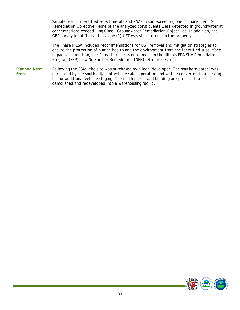Sample results identified select metals and PNAs in soil exceeding one or more Tier 1 Soil Remediation Objective. None of the analyzed constituents were detected in groundwater at concentrations exceed1.ing Class I Groundwater Remediation Objectives. In addition, the GPR survey identified at least one (1) UST was still present on the property.

The Phase II ESA included recommendations for UST removal and mitigation strategies to ensure the protection of human health and the environment from the identified subsurface impacts. In addition, the Phase II suggests enrollment in the Illinois EPA Site Remediation Program (SRP), if a No Further Remediation (NFR) letter is desired.

**Planned Next Steps**  Following the ESAs, the site was purchased by a local developer. The southern parcel was purchased by the south adjacent vehicle sales operation and will be converted to a parking lot for additional vehicle staging. The north parcel and building are proposed to be demolished and redeveloped into a warehousing facility.

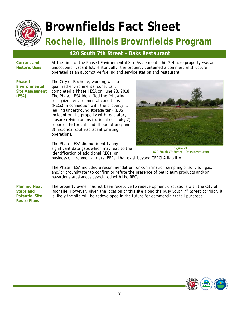

#### **420 South 7th Street – Oaks Restaurant**

**Current and Historic Uses**  At the time of the Phase I Environmental Site Assessment, this 2.4-acre property was an unoccupied, vacant lot. Historically, the property contained a commercial structure, operated as an automotive fueling and service station and restaurant.

**Phase I Environmental Site Assessment (ESA)** 

The City of Rochelle, working with a qualified environmental consultant, completed a Phase I ESA on June 28, 2018. The Phase I ESA identified the following recognized environmental conditions (RECs) in connection with the property: 1) leaking underground storage tank (LUST) incident on the property with regulatory closure relying on institutional controls; 2) reported historical landfill operations; and 3) historical south-adjacent printing operations.

The Phase I ESA did not identify any significant data gaps which may lead to the identification of additional RECs; or



**Figure 24. 420 South 7th Street - Oaks Restaurant** 

business environmental risks (BERs) that exist beyond CERCLA liability.

The Phase I ESA included a recommendation for confirmation sampling of soil, soil gas, and/or groundwater to confirm or refute the presence of petroleum products and/or hazardous substances associated with the RECs.

**Planned Next Steps and Potential Site Reuse Plans**  The property owner has not been receptive to redevelopment discussions with the City of Rochelle. However, given the location of this site along the busy South  $7<sup>th</sup>$  Street corridor, it is likely the site will be redeveloped in the future for commercial/retail purposes.

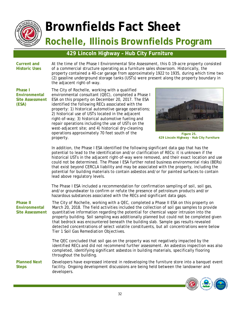

#### **429 Lincoln Highway – Hub City Furniture**

**Current and Historic Uses**  At the time of the Phase I Environmental Site Assessment, this 0.19-acre property consisted of a commercial structure operating as a furniture sales showroom. Historically, the property contained a 40-car garage from approximately 1922 to 1935, during which time two (2) gasoline underground storage tanks (USTs) were present along the property boundary in the adjacent right-of-way.

**Phase I Environmental Site Assessment (ESA)** 

The City of Rochelle, working with a qualified environmental consultant (QEC), completed a Phase I ESA on this property on December 20, 2017. The ESA identified the following RECs associated with the property: 1) historical automotive garage operations; 2) historical use of USTs located in the adjacent right-of-way; 3) historical automotive fueling and repair operations including the use of USTs on the west-adjacent site; and 4) historical dry-cleaning operations approximately 70 feet south of the property.



**Figure 25. 429 Lincoln Highway - Hub City Furniture** 

In addition, the Phase I ESA identified the following significant data gap that has the potential to lead to the identification and/or clarification of RECs: it is unknown if the historical USTs in the adjacent right-of-way were removed, and their exact location and use could not be determined. The Phase I ESA further noted business environmental risks (BERs) that exist beyond CERCLA liability and may be associated with the property, including the potential for building materials to contain asbestos and/or for painted surfaces to contain lead above regulatory levels.

The Phase I ESA included a recommendation for confirmation sampling of soil, soil gas, and/or groundwater to confirm or refute the presence of petroleum products and/or hazardous substances associated with the RECs and significant data gaps.

**Phase II Environmental Site Assessment**  The City of Rochelle, working with a QEC, completed a Phase II ESA on this property on March 20, 2018. The field activities included the collection of soil gas samples to provide quantitative information regarding the potential for chemical vapor intrusion into the property building. Soil sampling was additionally planned but could not be completed given that bedrock was encountered beneath the building slab. Sample gas results revealed detected concentrations of select volatile constituents, but all concentrations were below Tier 1 Soil Gas Remediation Objectives.

> The QEC concluded that soil gas on the property was not negatively impacted by the identified RECs and did not recommend further assessment. An asbestos inspection was also completed, identifying significant asbestos in building materials, specifically flooring throughout the building.

**Planned Next Steps**  Developers have expressed interest in redeveloping the furniture store into a banquet event facility. Ongoing development discussions are being held between the landowner and developers.